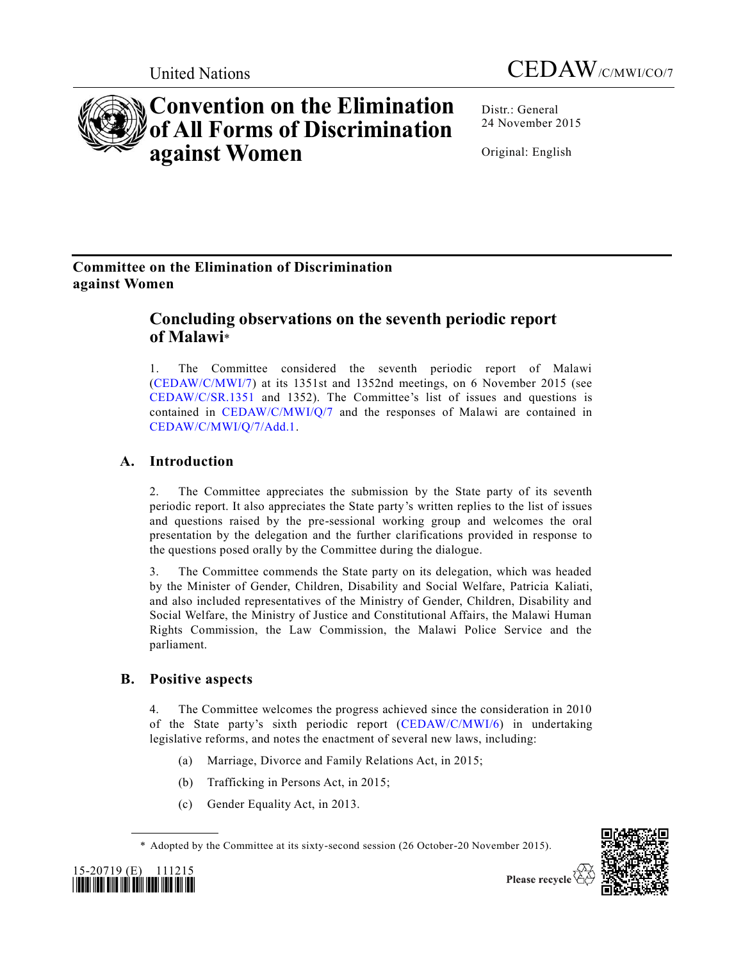

Distr.: General 24 November 2015

Original: English

# **Committee on the Elimination of Discrimination against Women**

**against Women**

# **Concluding observations on the seventh periodic report of Malawi**\*

**Convention on the Elimination of All Forms of Discrimination** 

1. The Committee considered the seventh periodic report of Malawi [\(CEDAW/C/MWI/7\)](http://undocs.org/CEDAW/C/MWI/7) at its 1351st and 1352nd meetings, on 6 November 2015 (see [CEDAW/C/SR.1351](http://undocs.org/CEDAW/C/SR.1351) and 1352). The Committee's list of issues and questions is contained in [CEDAW/C/MWI/Q/7](http://undocs.org/CEDAW/C/MWI/Q/7) and the responses of Malawi are contained in [CEDAW/C/MWI/Q/7/Add.1.](http://undocs.org/CEDAW/C/MWI/Q/7/Add.1)

# **A. Introduction**

2. The Committee appreciates the submission by the State party of its seventh periodic report. It also appreciates the State party's written replies to the list of issues and questions raised by the pre-sessional working group and welcomes the oral presentation by the delegation and the further clarifications provided in response to the questions posed orally by the Committee during the dialogue.

3. The Committee commends the State party on its delegation, which was headed by the Minister of Gender, Children, Disability and Social Welfare, Patricia Kaliati, and also included representatives of the Ministry of Gender, Children, Disability and Social Welfare, the Ministry of Justice and Constitutional Affairs, the Malawi Human Rights Commission, the Law Commission, the Malawi Police Service and the parliament.

# **B. Positive aspects**

4. The Committee welcomes the progress achieved since the consideration in 2010 of the State party's sixth periodic report [\(CEDAW/C/MWI/6\)](http://undocs.org/CEDAW/C/MWI/6) in undertaking legislative reforms, and notes the enactment of several new laws, including:

- (a) Marriage, Divorce and Family Relations Act, in 2015;
- (b) Trafficking in Persons Act, in 2015;
- (c) Gender Equality Act, in 2013.

<sup>\*</sup> Adopted by the Committee at its sixty-second session (26 October-20 November 2015).





Please recycle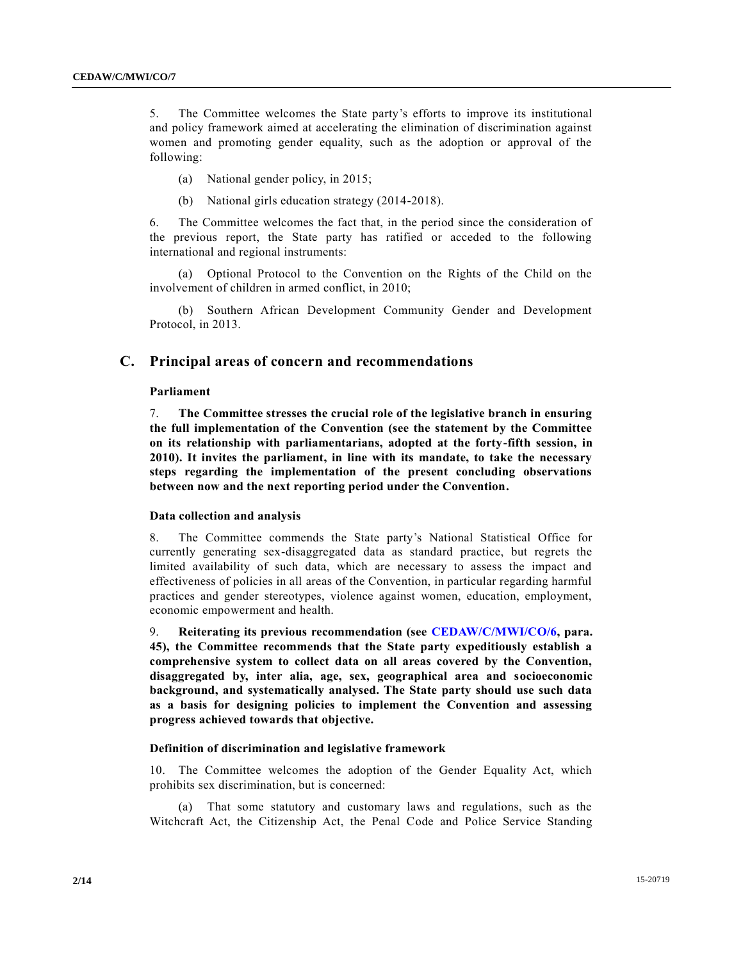5. The Committee welcomes the State party's efforts to improve its institutional and policy framework aimed at accelerating the elimination of discrimination against women and promoting gender equality, such as the adoption or approval of the following:

- (a) National gender policy, in 2015;
- (b) National girls education strategy (2014-2018).

6. The Committee welcomes the fact that, in the period since the consideration of the previous report, the State party has ratified or acceded to the following international and regional instruments:

(a) Optional Protocol to the Convention on the Rights of the Child on the involvement of children in armed conflict, in 2010;

(b) Southern African Development Community Gender and Development Protocol, in 2013.

# **C. Principal areas of concern and recommendations**

# **Parliament**

7. **The Committee stresses the crucial role of the legislative branch in ensuring the full implementation of the Convention (see the statement by the Committee on its relationship with parliamentarians, adopted at the forty-fifth session, in 2010). It invites the parliament, in line with its mandate, to take the necessary steps regarding the implementation of the present concluding observations between now and the next reporting period under the Convention.**

# **Data collection and analysis**

8. The Committee commends the State party's National Statistical Office for currently generating sex-disaggregated data as standard practice, but regrets the limited availability of such data, which are necessary to assess the impact and effectiveness of policies in all areas of the Convention, in particular regarding harmful practices and gender stereotypes, violence against women, education, employment, economic empowerment and health.

9. **Reiterating its previous recommendation (see [CEDAW/C/MWI/CO/6,](http://undocs.org/CEDAW/C/MWI/CO/6) para. 45), the Committee recommends that the State party expeditiously establish a comprehensive system to collect data on all areas covered by the Convention, disaggregated by, inter alia, age, sex, geographical area and socioeconomic background, and systematically analysed. The State party should use such data as a basis for designing policies to implement the Convention and assessing progress achieved towards that objective.**

# **Definition of discrimination and legislative framework**

10. The Committee welcomes the adoption of the Gender Equality Act, which prohibits sex discrimination, but is concerned:

(a) That some statutory and customary laws and regulations, such as the Witchcraft Act, the Citizenship Act, the Penal Code and Police Service Standing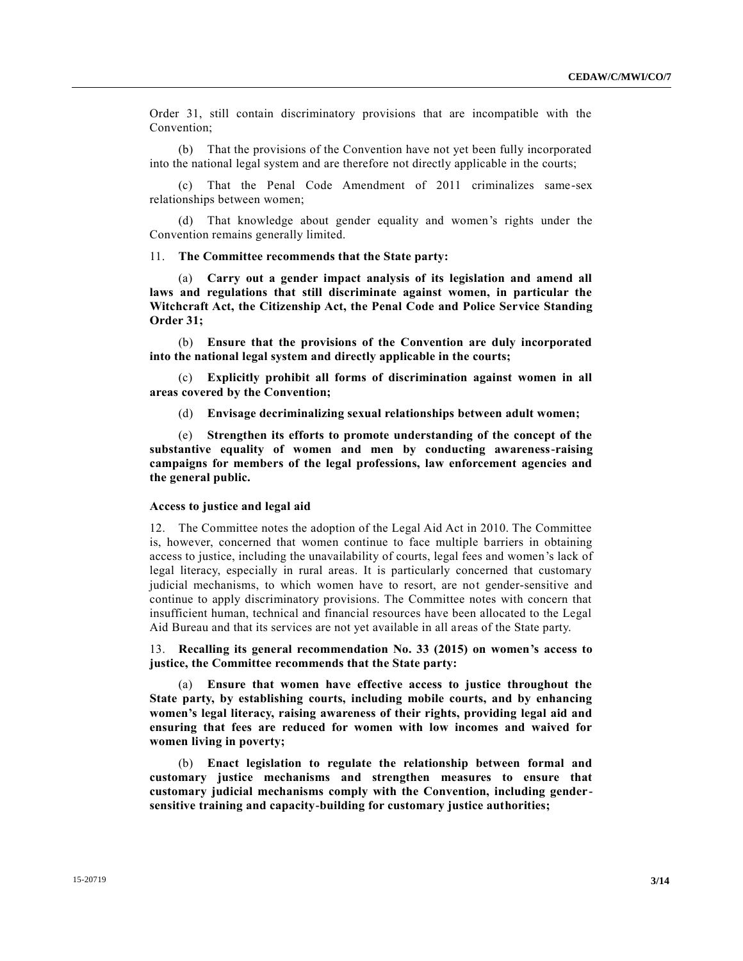Order 31, still contain discriminatory provisions that are incompatible with the Convention;

(b) That the provisions of the Convention have not yet been fully incorporated into the national legal system and are therefore not directly applicable in the courts;

(c) That the Penal Code Amendment of 2011 criminalizes same-sex relationships between women;

(d) That knowledge about gender equality and women's rights under the Convention remains generally limited.

11. **The Committee recommends that the State party:** 

(a) **Carry out a gender impact analysis of its legislation and amend all laws and regulations that still discriminate against women, in particular the Witchcraft Act, the Citizenship Act, the Penal Code and Police Service Standing Order 31;**

(b) **Ensure that the provisions of the Convention are duly incorporated into the national legal system and directly applicable in the courts;**

(c) **Explicitly prohibit all forms of discrimination against women in all areas covered by the Convention;**

(d) **Envisage decriminalizing sexual relationships between adult women;**

(e) **Strengthen its efforts to promote understanding of the concept of the substantive equality of women and men by conducting awareness-raising campaigns for members of the legal professions, law enforcement agencies and the general public.**

#### **Access to justice and legal aid**

12. The Committee notes the adoption of the Legal Aid Act in 2010. The Committee is, however, concerned that women continue to face multiple barriers in obtaining access to justice, including the unavailability of courts, legal fees and women's lack of legal literacy, especially in rural areas. It is particularly concerned that customary judicial mechanisms, to which women have to resort, are not gender-sensitive and continue to apply discriminatory provisions. The Committee notes with concern that insufficient human, technical and financial resources have been allocated to the Legal Aid Bureau and that its services are not yet available in all areas of the State party.

13. **Recalling its general recommendation No. 33 (2015) on women's access to justice, the Committee recommends that the State party:**

(a) **Ensure that women have effective access to justice throughout the State party, by establishing courts, including mobile courts, and by enhancing women's legal literacy, raising awareness of their rights, providing legal aid and ensuring that fees are reduced for women with low incomes and waived for women living in poverty;**

(b) **Enact legislation to regulate the relationship between formal and customary justice mechanisms and strengthen measures to ensure that customary judicial mechanisms comply with the Convention, including gendersensitive training and capacity-building for customary justice authorities;**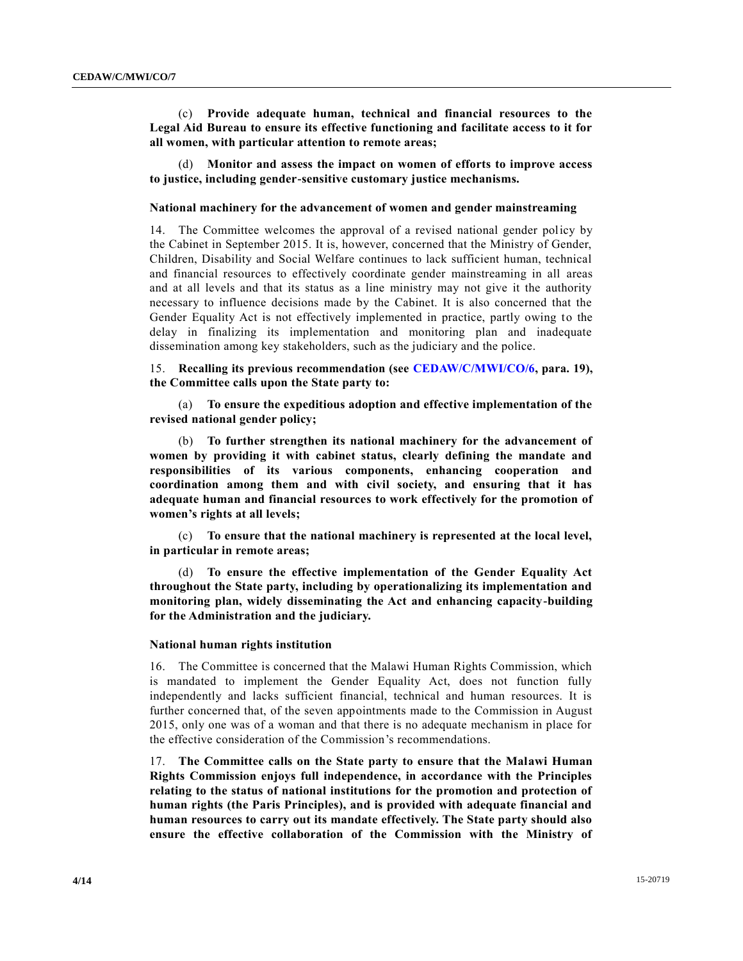(c) **Provide adequate human, technical and financial resources to the Legal Aid Bureau to ensure its effective functioning and facilitate access to it for all women, with particular attention to remote areas;**

(d) **Monitor and assess the impact on women of efforts to improve access to justice, including gender-sensitive customary justice mechanisms.**

# **National machinery for the advancement of women and gender mainstreaming**

14. The Committee welcomes the approval of a revised national gender policy by the Cabinet in September 2015. It is, however, concerned that the Ministry of Gender, Children, Disability and Social Welfare continues to lack sufficient human, technical and financial resources to effectively coordinate gender mainstreaming in all areas and at all levels and that its status as a line ministry may not give it the authority necessary to influence decisions made by the Cabinet. It is also concerned that the Gender Equality Act is not effectively implemented in practice, partly owing to the delay in finalizing its implementation and monitoring plan and inadequate dissemination among key stakeholders, such as the judiciary and the police.

15. **Recalling its previous recommendation (see [CEDAW/C/MWI/CO/6,](http://undocs.org/CEDAW/C/MWI/CO/6) para. 19), the Committee calls upon the State party to:**

(a) **To ensure the expeditious adoption and effective implementation of the revised national gender policy;**

(b) **To further strengthen its national machinery for the advancement of women by providing it with cabinet status, clearly defining the mandate and responsibilities of its various components, enhancing cooperation and coordination among them and with civil society, and ensuring that it has adequate human and financial resources to work effectively for the promotion of women's rights at all levels;**

(c) **To ensure that the national machinery is represented at the local level, in particular in remote areas;**

To ensure the effective implementation of the Gender Equality Act **throughout the State party, including by operationalizing its implementation and monitoring plan, widely disseminating the Act and enhancing capacity-building for the Administration and the judiciary.**

#### **National human rights institution**

16. The Committee is concerned that the Malawi Human Rights Commission, which is mandated to implement the Gender Equality Act, does not function fully independently and lacks sufficient financial, technical and human resources. It is further concerned that, of the seven appointments made to the Commission in August 2015, only one was of a woman and that there is no adequate mechanism in place for the effective consideration of the Commission's recommendations.

17. **The Committee calls on the State party to ensure that the Malawi Human Rights Commission enjoys full independence, in accordance with the Principles relating to the status of national institutions for the promotion and protection of human rights (the Paris Principles), and is provided with adequate financial and human resources to carry out its mandate effectively. The State party should also ensure the effective collaboration of the Commission with the Ministry of**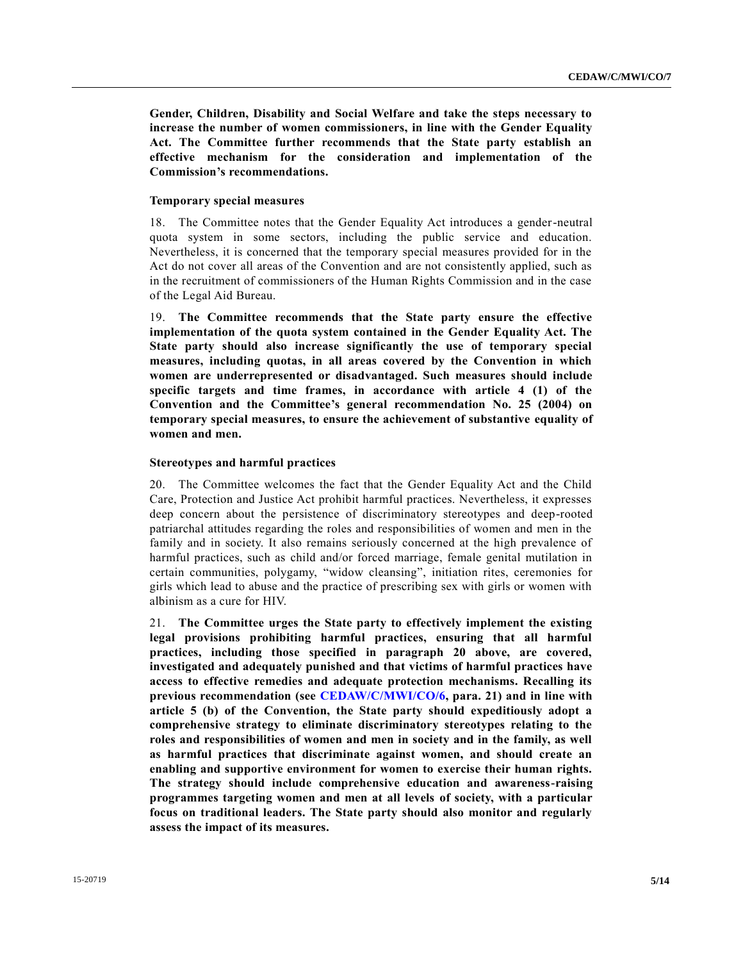**Gender, Children, Disability and Social Welfare and take the steps necessary to increase the number of women commissioners, in line with the Gender Equality Act. The Committee further recommends that the State party establish an effective mechanism for the consideration and implementation of the Commission's recommendations.**

# **Temporary special measures**

18. The Committee notes that the Gender Equality Act introduces a gender-neutral quota system in some sectors, including the public service and education. Nevertheless, it is concerned that the temporary special measures provided for in the Act do not cover all areas of the Convention and are not consistently applied, such as in the recruitment of commissioners of the Human Rights Commission and in the case of the Legal Aid Bureau.

19. **The Committee recommends that the State party ensure the effective implementation of the quota system contained in the Gender Equality Act. The State party should also increase significantly the use of temporary special measures, including quotas, in all areas covered by the Convention in which women are underrepresented or disadvantaged. Such measures should include specific targets and time frames, in accordance with article 4 (1) of the Convention and the Committee's general recommendation No. 25 (2004) on temporary special measures, to ensure the achievement of substantive equality of women and men.**

### **Stereotypes and harmful practices**

20. The Committee welcomes the fact that the Gender Equality Act and the Child Care, Protection and Justice Act prohibit harmful practices. Nevertheless, it expresses deep concern about the persistence of discriminatory stereotypes and deep-rooted patriarchal attitudes regarding the roles and responsibilities of women and men in the family and in society. It also remains seriously concerned at the high prevalence of harmful practices, such as child and/or forced marriage, female genital mutilation in certain communities, polygamy, "widow cleansing", initiation rites, ceremonies for girls which lead to abuse and the practice of prescribing sex with girls or women with albinism as a cure for HIV.

21. **The Committee urges the State party to effectively implement the existing legal provisions prohibiting harmful practices, ensuring that all harmful practices, including those specified in paragraph 20 above, are covered, investigated and adequately punished and that victims of harmful practices have access to effective remedies and adequate protection mechanisms. Recalling its previous recommendation (see [CEDAW/C/MWI/CO/6,](http://undocs.org/CEDAW/C/MWI/CO/6) para. 21) and in line with article 5 (b) of the Convention, the State party should expeditiously adopt a comprehensive strategy to eliminate discriminatory stereotypes relating to the roles and responsibilities of women and men in society and in the family, as well as harmful practices that discriminate against women, and should create an enabling and supportive environment for women to exercise their human rights. The strategy should include comprehensive education and awareness-raising programmes targeting women and men at all levels of society, with a particular focus on traditional leaders. The State party should also monitor and regularly assess the impact of its measures.**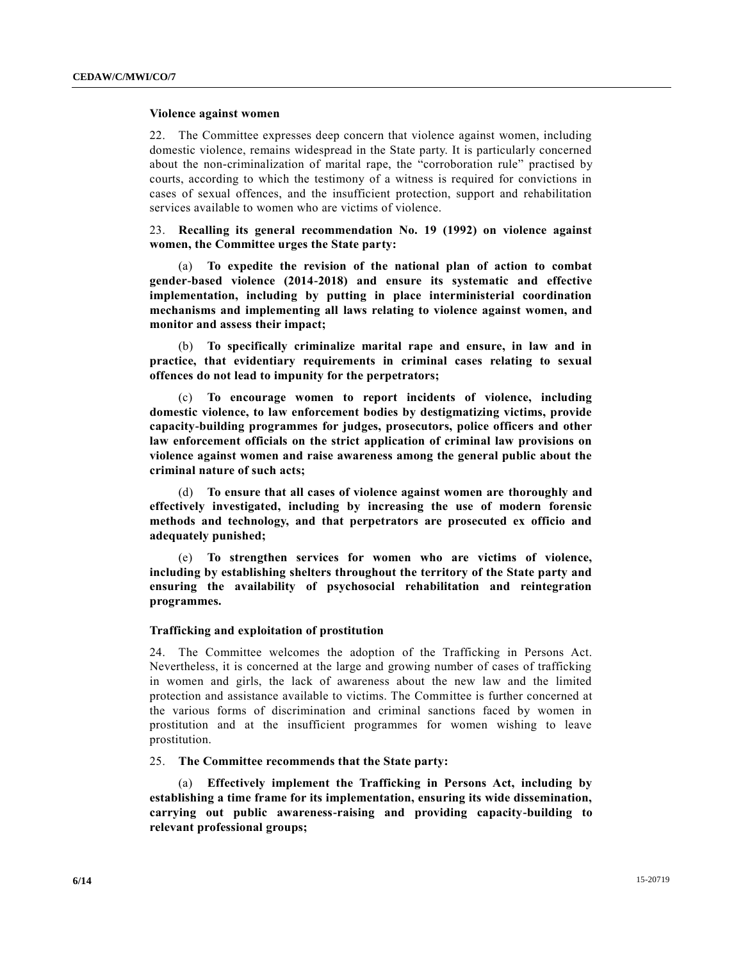# **Violence against women**

22. The Committee expresses deep concern that violence against women, including domestic violence, remains widespread in the State party. It is particularly concerned about the non-criminalization of marital rape, the "corroboration rule" practised by courts, according to which the testimony of a witness is required for convictions in cases of sexual offences, and the insufficient protection, support and rehabilitation services available to women who are victims of violence.

23. **Recalling its general recommendation No. 19 (1992) on violence against women, the Committee urges the State party:**

(a) **To expedite the revision of the national plan of action to combat gender-based violence (2014-2018) and ensure its systematic and effective implementation, including by putting in place interministerial coordination mechanisms and implementing all laws relating to violence against women, and monitor and assess their impact;**

(b) **To specifically criminalize marital rape and ensure, in law and in practice, that evidentiary requirements in criminal cases relating to sexual offences do not lead to impunity for the perpetrators;**

(c) **To encourage women to report incidents of violence, including domestic violence, to law enforcement bodies by destigmatizing victims, provide capacity-building programmes for judges, prosecutors, police officers and other law enforcement officials on the strict application of criminal law provisions on violence against women and raise awareness among the general public about the criminal nature of such acts;**

(d) **To ensure that all cases of violence against women are thoroughly and effectively investigated, including by increasing the use of modern forensic methods and technology, and that perpetrators are prosecuted ex officio and adequately punished;**

(e) **To strengthen services for women who are victims of violence, including by establishing shelters throughout the territory of the State party and ensuring the availability of psychosocial rehabilitation and reintegration programmes.**

### **Trafficking and exploitation of prostitution**

24. The Committee welcomes the adoption of the Trafficking in Persons Act. Nevertheless, it is concerned at the large and growing number of cases of trafficking in women and girls, the lack of awareness about the new law and the limited protection and assistance available to victims. The Committee is further concerned at the various forms of discrimination and criminal sanctions faced by women in prostitution and at the insufficient programmes for women wishing to leave prostitution.

25. **The Committee recommends that the State party:**

(a) **Effectively implement the Trafficking in Persons Act, including by establishing a time frame for its implementation, ensuring its wide dissemination, carrying out public awareness-raising and providing capacity-building to relevant professional groups;**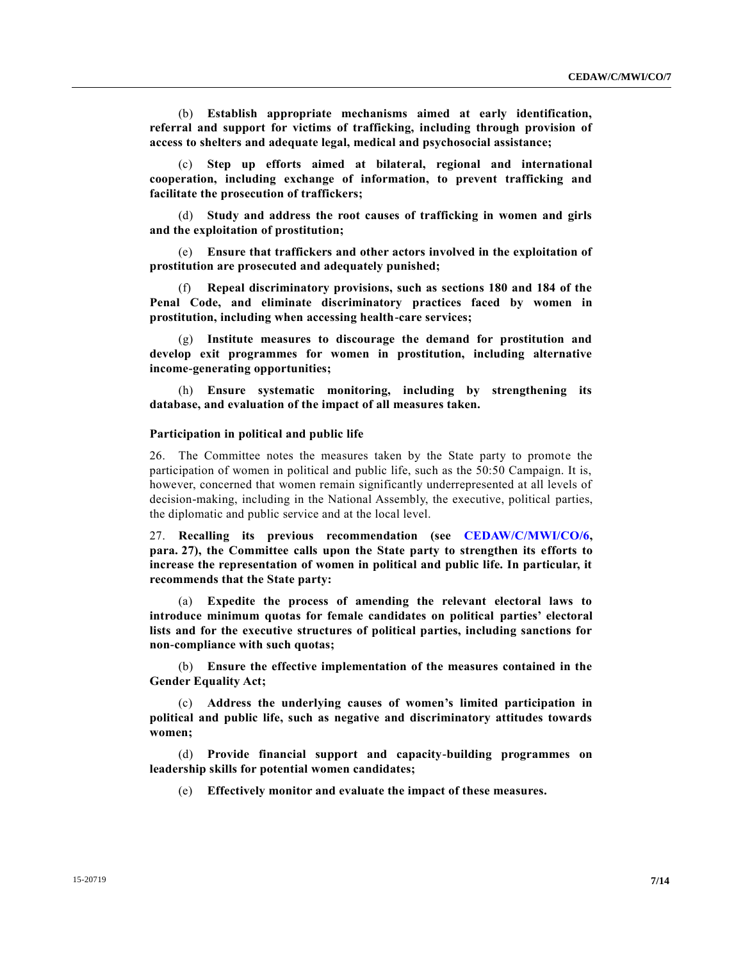(b) **Establish appropriate mechanisms aimed at early identification, referral and support for victims of trafficking, including through provision of access to shelters and adequate legal, medical and psychosocial assistance;**

(c) **Step up efforts aimed at bilateral, regional and international cooperation, including exchange of information, to prevent trafficking and facilitate the prosecution of traffickers;**

(d) **Study and address the root causes of trafficking in women and girls and the exploitation of prostitution;**

(e) **Ensure that traffickers and other actors involved in the exploitation of prostitution are prosecuted and adequately punished;**

(f) **Repeal discriminatory provisions, such as sections 180 and 184 of the Penal Code, and eliminate discriminatory practices faced by women in prostitution, including when accessing health-care services;**

(g) **Institute measures to discourage the demand for prostitution and develop exit programmes for women in prostitution, including alternative income-generating opportunities;**

(h) **Ensure systematic monitoring, including by strengthening its database, and evaluation of the impact of all measures taken.**

#### **Participation in political and public life**

26. The Committee notes the measures taken by the State party to promote the participation of women in political and public life, such as the 50:50 Campaign. It is, however, concerned that women remain significantly underrepresented at all levels of decision-making, including in the National Assembly, the executive, political parties, the diplomatic and public service and at the local level.

27. **Recalling its previous recommendation (see [CEDAW/C/MWI/CO/6,](http://undocs.org/CEDAW/C/MWI/CO/6) para. 27), the Committee calls upon the State party to strengthen its efforts to increase the representation of women in political and public life. In particular, it recommends that the State party:**

(a) **Expedite the process of amending the relevant electoral laws to introduce minimum quotas for female candidates on political parties' electoral lists and for the executive structures of political parties, including sanctions for non-compliance with such quotas;**

(b) **Ensure the effective implementation of the measures contained in the Gender Equality Act;**

(c) **Address the underlying causes of women's limited participation in political and public life, such as negative and discriminatory attitudes towards women;** 

(d) **Provide financial support and capacity-building programmes on leadership skills for potential women candidates;** 

(e) **Effectively monitor and evaluate the impact of these measures.**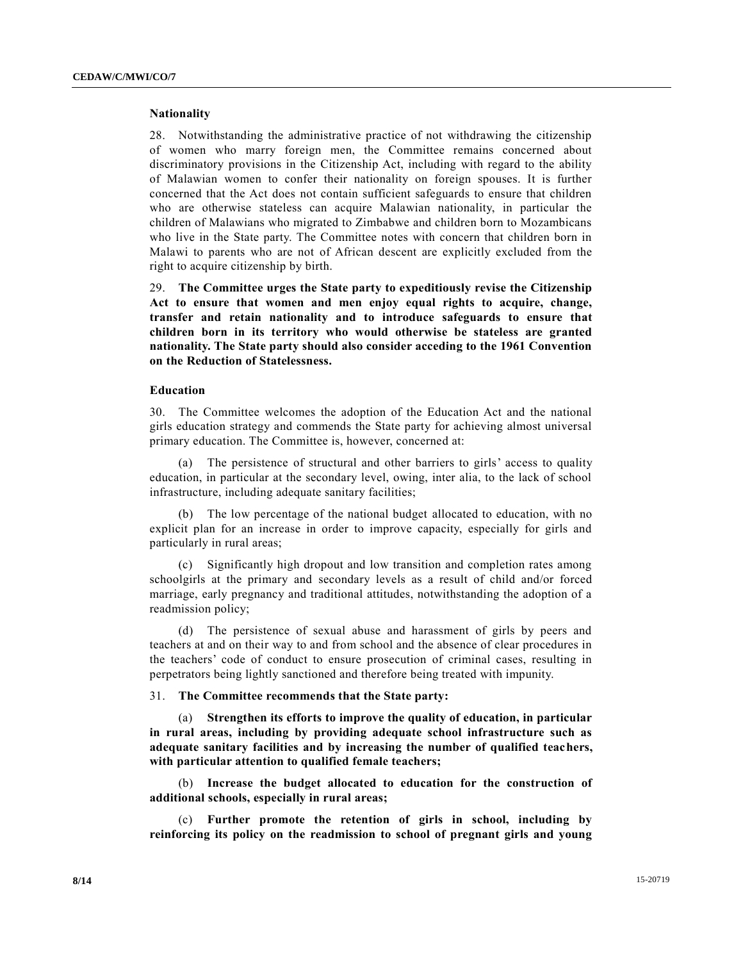#### **Nationality**

28. Notwithstanding the administrative practice of not withdrawing the citizenship of women who marry foreign men, the Committee remains concerned about discriminatory provisions in the Citizenship Act, including with regard to the ability of Malawian women to confer their nationality on foreign spouses. It is further concerned that the Act does not contain sufficient safeguards to ensure that children who are otherwise stateless can acquire Malawian nationality, in particular the children of Malawians who migrated to Zimbabwe and children born to Mozambicans who live in the State party. The Committee notes with concern that children born in Malawi to parents who are not of African descent are explicitly excluded from the right to acquire citizenship by birth.

29. **The Committee urges the State party to expeditiously revise the Citizenship Act to ensure that women and men enjoy equal rights to acquire, change, transfer and retain nationality and to introduce safeguards to ensure that children born in its territory who would otherwise be stateless are granted nationality. The State party should also consider acceding to the 1961 Convention on the Reduction of Statelessness.**

#### **Education**

30. The Committee welcomes the adoption of the Education Act and the national girls education strategy and commends the State party for achieving almost universal primary education. The Committee is, however, concerned at:

(a) The persistence of structural and other barriers to girls' access to quality education, in particular at the secondary level, owing, inter alia, to the lack of school infrastructure, including adequate sanitary facilities;

(b) The low percentage of the national budget allocated to education, with no explicit plan for an increase in order to improve capacity, especially for girls and particularly in rural areas;

(c) Significantly high dropout and low transition and completion rates among schoolgirls at the primary and secondary levels as a result of child and/or forced marriage, early pregnancy and traditional attitudes, notwithstanding the adoption of a readmission policy;

(d) The persistence of sexual abuse and harassment of girls by peers and teachers at and on their way to and from school and the absence of clear procedures in the teachers' code of conduct to ensure prosecution of criminal cases, resulting in perpetrators being lightly sanctioned and therefore being treated with impunity.

# 31. **The Committee recommends that the State party:**

(a) **Strengthen its efforts to improve the quality of education, in particular in rural areas, including by providing adequate school infrastructure such as adequate sanitary facilities and by increasing the number of qualified teachers, with particular attention to qualified female teachers;**

(b) **Increase the budget allocated to education for the construction of additional schools, especially in rural areas;**

(c) **Further promote the retention of girls in school, including by reinforcing its policy on the readmission to school of pregnant girls and young**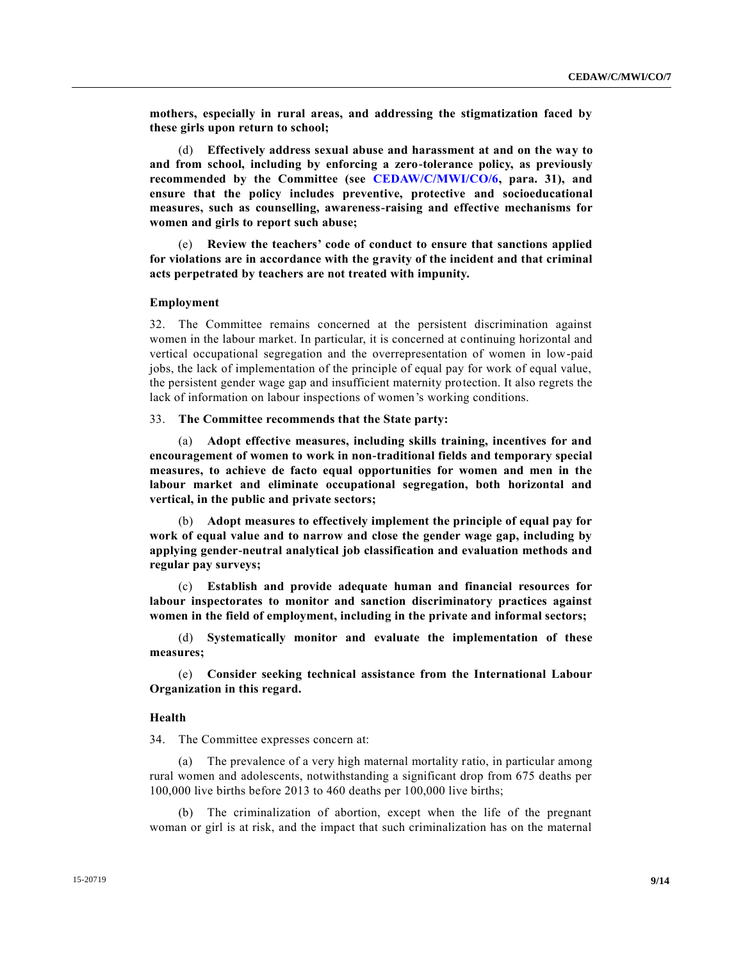**mothers, especially in rural areas, and addressing the stigmatization faced by these girls upon return to school;**

(d) **Effectively address sexual abuse and harassment at and on the way to and from school, including by enforcing a zero-tolerance policy, as previously recommended by the Committee (see [CEDAW/C/MWI/CO/6,](http://undocs.org/CEDAW/C/MWI/CO/6) para. 31), and ensure that the policy includes preventive, protective and socioeducational measures, such as counselling, awareness-raising and effective mechanisms for women and girls to report such abuse;**

(e) **Review the teachers' code of conduct to ensure that sanctions applied for violations are in accordance with the gravity of the incident and that criminal acts perpetrated by teachers are not treated with impunity.**

#### **Employment**

32. The Committee remains concerned at the persistent discrimination against women in the labour market. In particular, it is concerned at continuing horizontal and vertical occupational segregation and the overrepresentation of women in low-paid jobs, the lack of implementation of the principle of equal pay for work of equal value, the persistent gender wage gap and insufficient maternity protection. It also regrets the lack of information on labour inspections of women's working conditions.

33. **The Committee recommends that the State party:**

(a) **Adopt effective measures, including skills training, incentives for and encouragement of women to work in non-traditional fields and temporary special measures, to achieve de facto equal opportunities for women and men in the labour market and eliminate occupational segregation, both horizontal and vertical, in the public and private sectors;**

(b) **Adopt measures to effectively implement the principle of equal pay for work of equal value and to narrow and close the gender wage gap, including by applying gender-neutral analytical job classification and evaluation methods and regular pay surveys;**

(c) **Establish and provide adequate human and financial resources for labour inspectorates to monitor and sanction discriminatory practices against women in the field of employment, including in the private and informal sectors;**

(d) **Systematically monitor and evaluate the implementation of these measures;**

(e) **Consider seeking technical assistance from the International Labour Organization in this regard.**

# **Health**

34. The Committee expresses concern at:

(a) The prevalence of a very high maternal mortality ratio, in particular among rural women and adolescents, notwithstanding a significant drop from 675 deaths per 100,000 live births before 2013 to 460 deaths per 100,000 live births;

(b) The criminalization of abortion, except when the life of the pregnant woman or girl is at risk, and the impact that such criminalization has on the maternal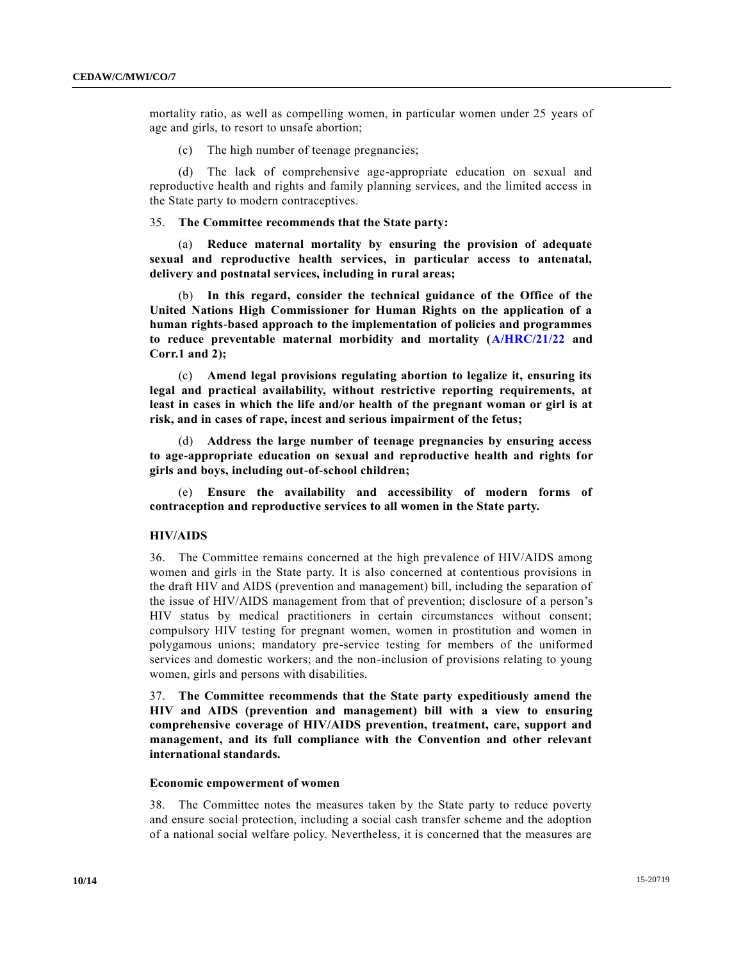mortality ratio, as well as compelling women, in particular women under 25 years of age and girls, to resort to unsafe abortion;

(c) The high number of teenage pregnancies;

(d) The lack of comprehensive age-appropriate education on sexual and reproductive health and rights and family planning services, and the limited access in the State party to modern contraceptives.

35. **The Committee recommends that the State party:**

(a) **Reduce maternal mortality by ensuring the provision of adequate sexual and reproductive health services, in particular access to antenatal, delivery and postnatal services, including in rural areas;**

(b) **In this regard, consider the technical guidance of the Office of the United Nations High Commissioner for Human Rights on the application of a human rights-based approach to the implementation of policies and programmes to reduce preventable maternal morbidity and mortality [\(A/HRC/21/22](http://undocs.org/A/HRC/21/22) and Corr.1 and 2);**

(c) **Amend legal provisions regulating abortion to legalize it, ensuring its legal and practical availability, without restrictive reporting requirements, at least in cases in which the life and/or health of the pregnant woman or girl is at risk, and in cases of rape, incest and serious impairment of the fetus;**

(d) **Address the large number of teenage pregnancies by ensuring access to age-appropriate education on sexual and reproductive health and rights for girls and boys, including out-of-school children;**

(e) **Ensure the availability and accessibility of modern forms of contraception and reproductive services to all women in the State party.**

# **HIV/AIDS**

36. The Committee remains concerned at the high prevalence of HIV/AIDS among women and girls in the State party. It is also concerned at contentious provisions in the draft HIV and AIDS (prevention and management) bill, including the separation of the issue of HIV/AIDS management from that of prevention; disclosure of a person's HIV status by medical practitioners in certain circumstances without consent; compulsory HIV testing for pregnant women, women in prostitution and women in polygamous unions; mandatory pre-service testing for members of the uniformed services and domestic workers; and the non-inclusion of provisions relating to young women, girls and persons with disabilities.

37. **The Committee recommends that the State party expeditiously amend the HIV and AIDS (prevention and management) bill with a view to ensuring comprehensive coverage of HIV/AIDS prevention, treatment, care, support and management, and its full compliance with the Convention and other relevant international standards.**

#### **Economic empowerment of women**

38. The Committee notes the measures taken by the State party to reduce poverty and ensure social protection, including a social cash transfer scheme and the adoption of a national social welfare policy. Nevertheless, it is concerned that the measures are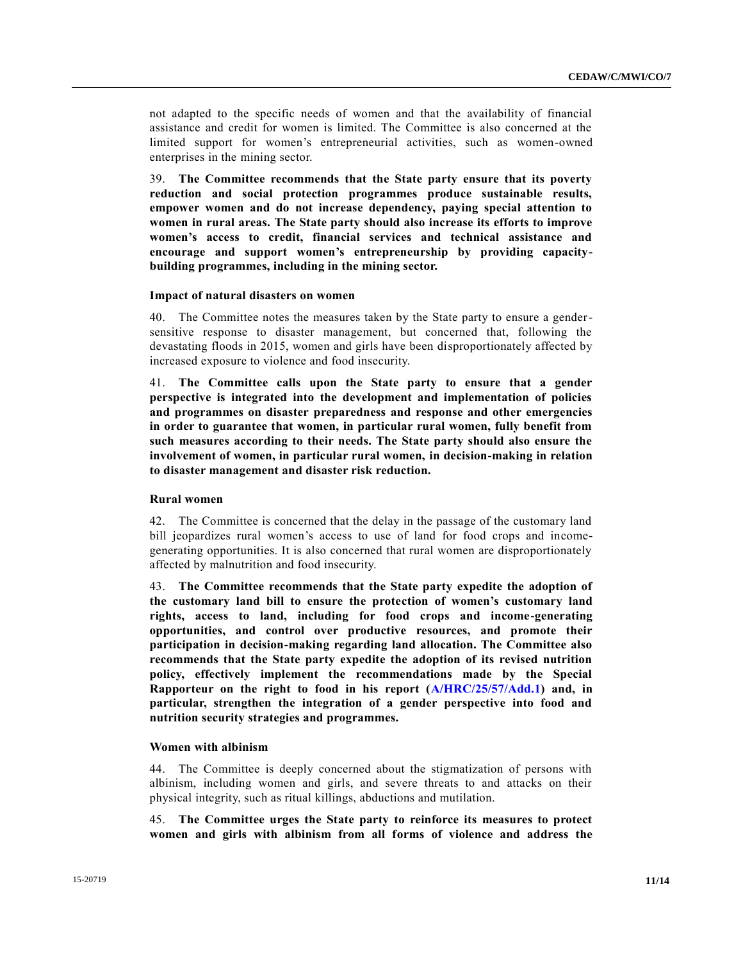not adapted to the specific needs of women and that the availability of financial assistance and credit for women is limited. The Committee is also concerned at the limited support for women's entrepreneurial activities, such as women-owned enterprises in the mining sector.

39. **The Committee recommends that the State party ensure that its poverty reduction and social protection programmes produce sustainable results, empower women and do not increase dependency, paying special attention to women in rural areas. The State party should also increase its efforts to improve women's access to credit, financial services and technical assistance and encourage and support women's entrepreneurship by providing capacitybuilding programmes, including in the mining sector.**

### **Impact of natural disasters on women**

40. The Committee notes the measures taken by the State party to ensure a gendersensitive response to disaster management, but concerned that, following the devastating floods in 2015, women and girls have been disproportionately affected by increased exposure to violence and food insecurity.

41. **The Committee calls upon the State party to ensure that a gender perspective is integrated into the development and implementation of policies and programmes on disaster preparedness and response and other emergencies in order to guarantee that women, in particular rural women, fully benefit from such measures according to their needs. The State party should also ensure the involvement of women, in particular rural women, in decision-making in relation to disaster management and disaster risk reduction.**

# **Rural women**

42. The Committee is concerned that the delay in the passage of the customary land bill jeopardizes rural women's access to use of land for food crops and incomegenerating opportunities. It is also concerned that rural women are disproportionately affected by malnutrition and food insecurity.

43. **The Committee recommends that the State party expedite the adoption of the customary land bill to ensure the protection of women's customary land rights, access to land, including for food crops and income-generating opportunities, and control over productive resources, and promote their participation in decision-making regarding land allocation. The Committee also recommends that the State party expedite the adoption of its revised nutrition policy, effectively implement the recommendations made by the Special Rapporteur on the right to food in his report [\(A/HRC/25/57/Add.1\)](http://undocs.org/A/HRC/25/57/Add.1) and, in particular, strengthen the integration of a gender perspective into food and nutrition security strategies and programmes.**

# **Women with albinism**

44. The Committee is deeply concerned about the stigmatization of persons with albinism, including women and girls, and severe threats to and attacks on their physical integrity, such as ritual killings, abductions and mutilation.

45. **The Committee urges the State party to reinforce its measures to protect women and girls with albinism from all forms of violence and address the**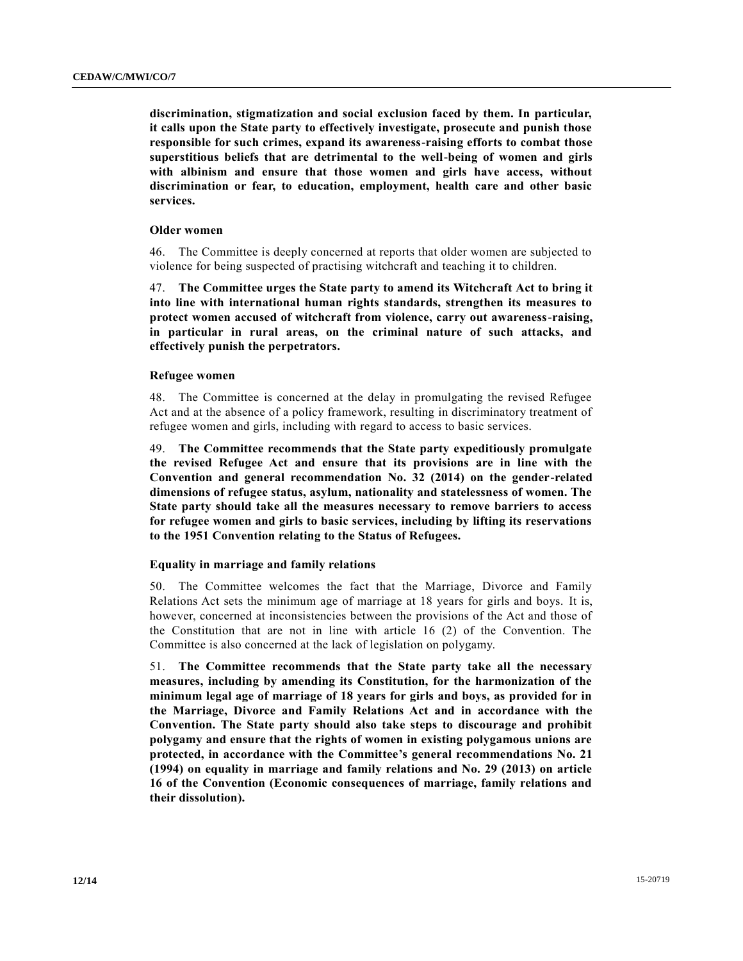**discrimination, stigmatization and social exclusion faced by them. In particular, it calls upon the State party to effectively investigate, prosecute and punish those responsible for such crimes, expand its awareness-raising efforts to combat those superstitious beliefs that are detrimental to the well-being of women and girls with albinism and ensure that those women and girls have access, without discrimination or fear, to education, employment, health care and other basic services.**

# **Older women**

46. The Committee is deeply concerned at reports that older women are subjected to violence for being suspected of practising witchcraft and teaching it to children.

47. **The Committee urges the State party to amend its Witchcraft Act to bring it into line with international human rights standards, strengthen its measures to protect women accused of witchcraft from violence, carry out awareness-raising, in particular in rural areas, on the criminal nature of such attacks, and effectively punish the perpetrators.**

# **Refugee women**

48. The Committee is concerned at the delay in promulgating the revised Refugee Act and at the absence of a policy framework, resulting in discriminatory treatment of refugee women and girls, including with regard to access to basic services.

49. **The Committee recommends that the State party expeditiously promulgate the revised Refugee Act and ensure that its provisions are in line with the Convention and general recommendation No. 32 (2014) on the gender-related dimensions of refugee status, asylum, nationality and statelessness of women. The State party should take all the measures necessary to remove barriers to access for refugee women and girls to basic services, including by lifting its reservations to the 1951 Convention relating to the Status of Refugees.**

# **Equality in marriage and family relations**

50. The Committee welcomes the fact that the Marriage, Divorce and Family Relations Act sets the minimum age of marriage at 18 years for girls and boys. It is, however, concerned at inconsistencies between the provisions of the Act and those of the Constitution that are not in line with article 16 (2) of the Convention. The Committee is also concerned at the lack of legislation on polygamy.

51. **The Committee recommends that the State party take all the necessary measures, including by amending its Constitution, for the harmonization of the minimum legal age of marriage of 18 years for girls and boys, as provided for in the Marriage, Divorce and Family Relations Act and in accordance with the Convention. The State party should also take steps to discourage and prohibit polygamy and ensure that the rights of women in existing polygamous unions are protected, in accordance with the Committee's general recommendations No. 21 (1994) on equality in marriage and family relations and No. 29 (2013) on article 16 of the Convention (Economic consequences of marriage, family relations and their dissolution).**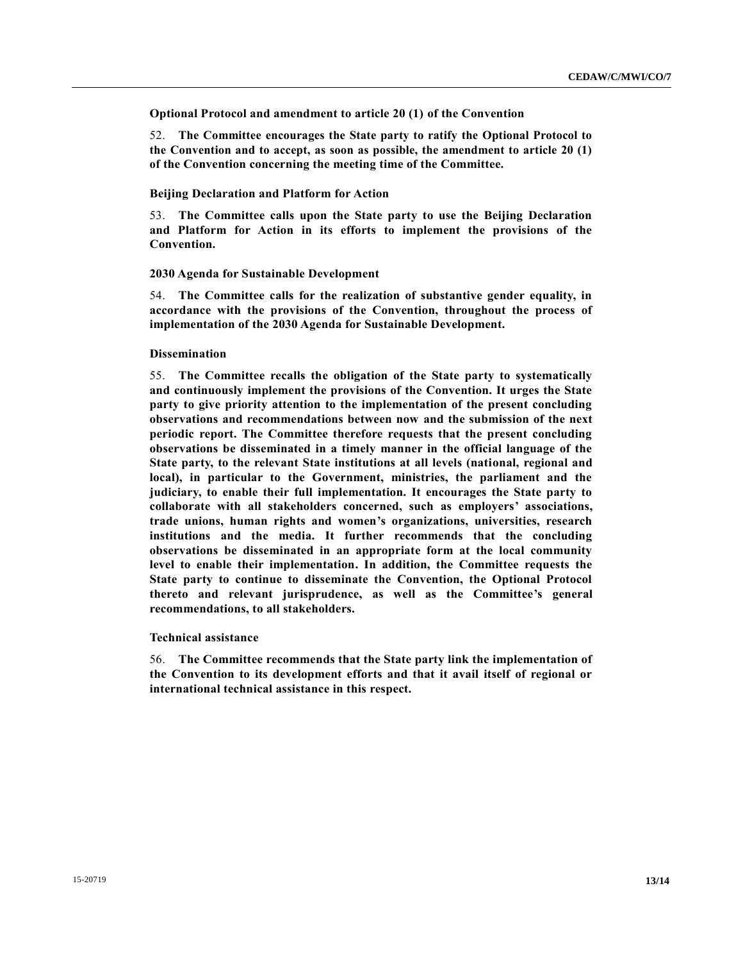**Optional Protocol and amendment to article 20 (1) of the Convention**

52. **The Committee encourages the State party to ratify the Optional Protocol to the Convention and to accept, as soon as possible, the amendment to article 20 (1) of the Convention concerning the meeting time of the Committee.**

# **Beijing Declaration and Platform for Action**

53. **The Committee calls upon the State party to use the Beijing Declaration and Platform for Action in its efforts to implement the provisions of the Convention.**

# **2030 Agenda for Sustainable Development**

54. **The Committee calls for the realization of substantive gender equality, in accordance with the provisions of the Convention, throughout the process of implementation of the 2030 Agenda for Sustainable Development.**

## **Dissemination**

55. **The Committee recalls the obligation of the State party to systematically and continuously implement the provisions of the Convention. It urges the State party to give priority attention to the implementation of the present concluding observations and recommendations between now and the submission of the next periodic report. The Committee therefore requests that the present concluding observations be disseminated in a timely manner in the official language of the State party, to the relevant State institutions at all levels (national, regional and local), in particular to the Government, ministries, the parliament and the judiciary, to enable their full implementation. It encourages the State party to collaborate with all stakeholders concerned, such as employers' associations, trade unions, human rights and women's organizations, universities, research institutions and the media. It further recommends that the concluding observations be disseminated in an appropriate form at the local community level to enable their implementation. In addition, the Committee requests the State party to continue to disseminate the Convention, the Optional Protocol thereto and relevant jurisprudence, as well as the Committee's general recommendations, to all stakeholders.**

#### **Technical assistance**

56. **The Committee recommends that the State party link the implementation of the Convention to its development efforts and that it avail itself of regional or international technical assistance in this respect.**